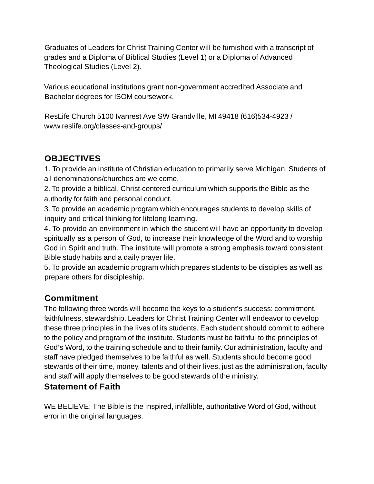Graduates of Leaders for Christ Training Center will be furnished with a transcript of grades and a Diploma of Biblical Studies (Level 1) or a Diploma of Advanced Theological Studies (Level 2).

Various educational institutions grant non-government accredited Associate and Bachelor degrees for ISOM coursework.

ResLife Church 5100 Ivanrest Ave SW Grandville, MI 49418 (616)534-4923 / www.reslife.org/classes-and-groups/

# **OBJECTIVES**

1. To provide an institute of Christian education to primarily serve Michigan. Students of all denominations/churches are welcome.

2. To provide a biblical, Christ-centered curriculum which supports the Bible as the authority for faith and personal conduct.

3. To provide an academic program which encourages students to develop skills of inquiry and critical thinking for lifelong learning.

4. To provide an environment in which the student will have an opportunity to develop spiritually as a person of God, to increase their knowledge of the Word and to worship God in Spirit and truth. The institute will promote a strong emphasis toward consistent Bible study habits and a daily prayer life.

5. To provide an academic program which prepares students to be disciples as well as prepare others for discipleship.

# **Commitment**

The following three words will become the keys to a student's success: commitment, faithfulness, stewardship. Leaders for Christ Training Center will endeavor to develop these three principles in the lives of its students. Each student should commit to adhere to the policy and program of the institute. Students must be faithful to the principles of God's Word, to the training schedule and to their family. Our administration, faculty and staff have pledged themselves to be faithful as well. Students should become good stewards of their time, money, talents and of their lives, just as the administration, faculty and staff will apply themselves to be good stewards of the ministry.

## **Statement of Faith**

WE BELIEVE: The Bible is the inspired, infallible, authoritative Word of God, without error in the original languages.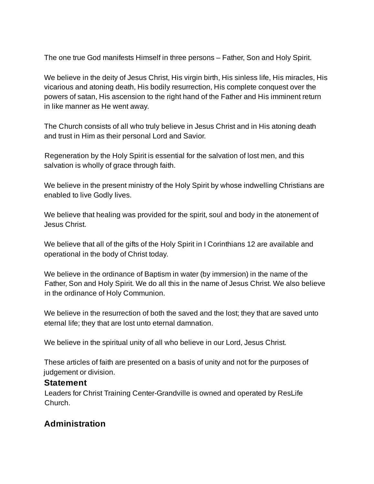The one true God manifests Himself in three persons – Father, Son and Holy Spirit.

We believe in the deity of Jesus Christ, His virgin birth, His sinless life, His miracles, His vicarious and atoning death, His bodily resurrection, His complete conquest over the powers of satan, His ascension to the right hand of the Father and His imminent return in like manner as He went away.

The Church consists of all who truly believe in Jesus Christ and in His atoning death and trust in Him as their personal Lord and Savior.

Regeneration by the Holy Spirit is essential for the salvation of lost men, and this salvation is wholly of grace through faith.

We believe in the present ministry of the Holy Spirit by whose indwelling Christians are enabled to live Godly lives.

We believe that healing was provided for the spirit, soul and body in the atonement of Jesus Christ.

We believe that all of the gifts of the Holy Spirit in I Corinthians 12 are available and operational in the body of Christ today.

We believe in the ordinance of Baptism in water (by immersion) in the name of the Father, Son and Holy Spirit. We do all this in the name of Jesus Christ. We also believe in the ordinance of Holy Communion.

We believe in the resurrection of both the saved and the lost; they that are saved unto eternal life; they that are lost unto eternal damnation.

We believe in the spiritual unity of all who believe in our Lord, Jesus Christ.

These articles of faith are presented on a basis of unity and not for the purposes of judgement or division.

#### **Statement**

Leaders for Christ Training Center-Grandville is owned and operated by ResLife Church.

## **Administration**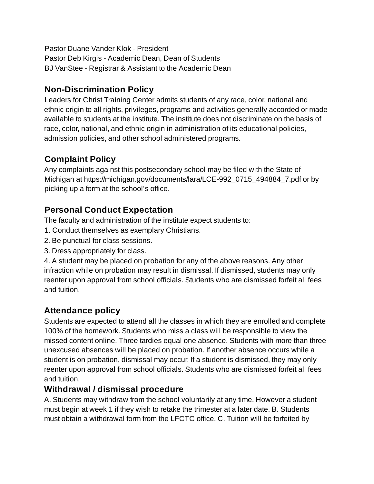Pastor Duane Vander Klok - President Pastor Deb Kirgis - Academic Dean, Dean of Students BJ VanStee - Registrar & Assistant to the Academic Dean

## **Non-Discrimination Policy**

Leaders for Christ Training Center admits students of any race, color, national and ethnic origin to all rights, privileges, programs and activities generally accorded or made available to students at the institute. The institute does not discriminate on the basis of race, color, national, and ethnic origin in administration of its educational policies, admission policies, and other school administered programs.

## **Complaint Policy**

Any complaints against this postsecondary school may be filed with the State of Michigan at https://michigan.gov/documents/lara/LCE-992\_0715\_494884\_7.pdf or by picking up a form at the school's office.

# **Personal Conduct Expectation**

The faculty and administration of the institute expect students to:

- 1. Conduct themselves as exemplary Christians.
- 2. Be punctual for class sessions.
- 3. Dress appropriately for class.

4. A student may be placed on probation for any of the above reasons. Any other infraction while on probation may result in dismissal. If dismissed, students may only reenter upon approval from school officials. Students who are dismissed forfeit all fees and tuition.

# **Attendance policy**

Students are expected to attend all the classes in which they are enrolled and complete 100% of the homework. Students who miss a class will be responsible to view the missed content online. Three tardies equal one absence. Students with more than three unexcused absences will be placed on probation. If another absence occurs while a student is on probation, dismissal may occur. If a student is dismissed, they may only reenter upon approval from school officials. Students who are dismissed forfeit all fees and tuition.

## **Withdrawal / dismissal procedure**

A. Students may withdraw from the school voluntarily at any time. However a student must begin at week 1 if they wish to retake the trimester at a later date. B. Students must obtain a withdrawal form from the LFCTC office. C. Tuition will be forfeited by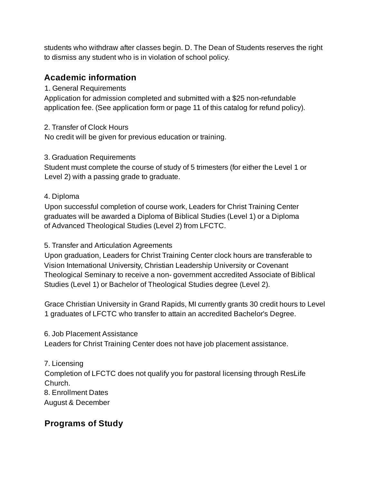students who withdraw after classes begin. D. The Dean of Students reserves the right to dismiss any student who is in violation of school policy.

## **Academic information**

### 1. General Requirements

Application for admission completed and submitted with a \$25 non-refundable application fee. (See application form or page 11 of this catalog for refund policy).

### 2. Transfer of Clock Hours

No credit will be given for previous education or training.

### 3. Graduation Requirements

Student must complete the course of study of 5 trimesters (for either the Level 1 or Level 2) with a passing grade to graduate.

### 4. Diploma

Upon successful completion of course work, Leaders for Christ Training Center graduates will be awarded a Diploma of Biblical Studies (Level 1) or a Diploma of Advanced Theological Studies (Level 2) from LFCTC.

### 5. Transfer and Articulation Agreements

Upon graduation, Leaders for Christ Training Center clock hours are transferable to Vision International University, Christian Leadership University or Covenant Theological Seminary to receive a non- government accredited Associate of Biblical Studies (Level 1) or Bachelor of Theological Studies degree (Level 2).

Grace Christian University in Grand Rapids, MI currently grants 30 credit hours to Level 1 graduates of LFCTC who transfer to attain an accredited Bachelor's Degree.

6. Job Placement Assistance Leaders for Christ Training Center does not have job placement assistance.

7. Licensing Completion of LFCTC does not qualify you for pastoral licensing through ResLife Church.

8. Enrollment Dates

August & December

## **Programs of Study**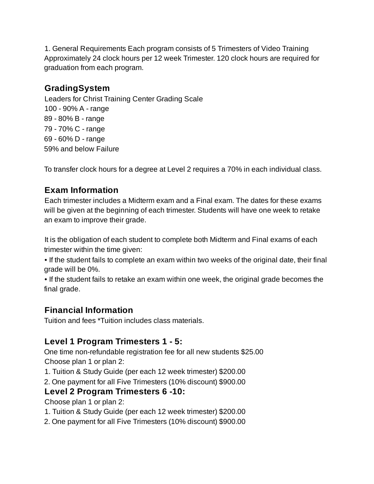1. General Requirements Each program consists of 5 Trimesters of Video Training Approximately 24 clock hours per 12 week Trimester. 120 clock hours are required for graduation from each program.

## **GradingSystem**

Leaders for Christ Training Center Grading Scale - 90% A - range - 80% B - range - 70% C - range - 60% D - range 59% and below Failure

To transfer clock hours for a degree at Level 2 requires a 70% in each individual class.

## **Exam Information**

Each trimester includes a Midterm exam and a Final exam. The dates for these exams will be given at the beginning of each trimester. Students will have one week to retake an exam to improve their grade.

It is the obligation of each student to complete both Midterm and Final exams of each trimester within the time given:

• If the student fails to complete an exam within two weeks of the original date, their final grade will be 0%.

• If the student fails to retake an exam within one week, the original grade becomes the final grade.

# **Financial Information**

Tuition and fees \*Tuition includes class materials.

## **Level 1 Program Trimesters 1 - 5:**

One time non-refundable registration fee for all new students \$25.00 Choose plan 1 or plan 2:

1. Tuition & Study Guide (per each 12 week trimester) \$200.00

2. One payment for all Five Trimesters (10% discount) \$900.00

## **Level 2 Program Trimesters 6 -10:**

Choose plan 1 or plan 2:

- 1. Tuition & Study Guide (per each 12 week trimester) \$200.00
- 2. One payment for all Five Trimesters (10% discount) \$900.00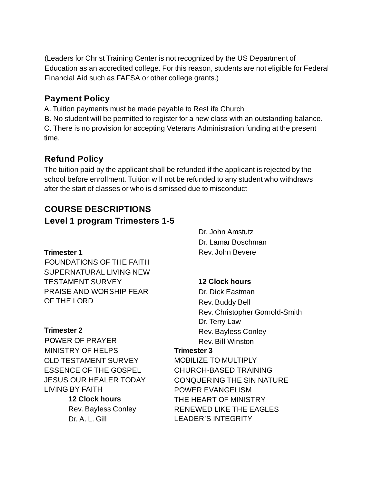(Leaders for Christ Training Center is not recognized by the US Department of Education as an accredited college. For this reason, students are not eligible for Federal Financial Aid such as FAFSA or other college grants.)

## **Payment Policy**

A. Tuition payments must be made payable to ResLife Church

B. No student will be permitted to register for a new class with an outstanding balance. C. There is no provision for accepting Veterans Administration funding at the present time.

# **Refund Policy**

The tuition paid by the applicant shall be refunded if the applicant is rejected by the school before enrollment. Tuition will not be refunded to any student who withdraws after the start of classes or who is dismissed due to misconduct

# **COURSE DESCRIPTIONS Level 1 program Trimesters 1-5**

### **Trimester 1**

FOUNDATIONS OF THE FAITH SUPERNATURAL LIVING NEW TESTAMENT SURVEY PRAISE AND WORSHIP FEAR OF THE LORD

### **Trimester 2**

POWER OF PRAYER MINISTRY OF HELPS OLD TESTAMENT SURVEY ESSENCE OF THE GOSPEL JESUS OUR HEALER TODAY LIVING BY FAITH

> **12 Clock hours** Rev. Bayless Conley Dr. A. L. Gill

Dr. John Amstutz Dr. Lamar Boschman Rev. John Bevere

## **12 Clock hours**

Dr. Dick Eastman Rev. Buddy Bell Rev. Christopher Gornold-Smith Dr. Terry Law Rev. Bayless Conley Rev. Bill Winston

### **Trimester 3**

MOBILIZE TO MULTIPLY CHURCH-BASED TRAINING CONQUERING THE SIN NATURE POWER EVANGELISM THE HEART OF MINISTRY RENEWED LIKE THE EAGLES LEADER'S INTEGRITY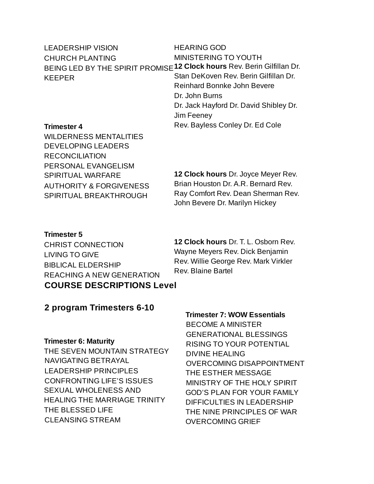| <b>LEADERSHIP VISION</b> | <b>HEARING GOD</b>                                                      |
|--------------------------|-------------------------------------------------------------------------|
| <b>CHURCH PLANTING</b>   | <b>MINISTERING TO YOUTH</b>                                             |
|                          | BEING LED BY THE SPIRIT PROMISE 12 Clock hours Rev. Berin Gilfillan Dr. |
| KEEPER                   | Stan DeKoven Rev. Berin Gilfillan Dr.                                   |
|                          | Reinhard Bonnke John Bevere                                             |
|                          | Dr. John Burns                                                          |
|                          | Dr. Jack Hayford Dr. David Shibley Dr.                                  |
|                          | Jim Feeney                                                              |
|                          |                                                                         |

#### **Trimester 4**

WILDERNESS MENTALITIES DEVELOPING LEADERS RECONCILIATION PERSONAL EVANGELISM SPIRITUAL WARFARE AUTHORITY & FORGIVENESS SPIRITUAL BREAKTHROUGH

**12 Clock hours** Dr. Joyce Meyer Rev. Brian Houston Dr. A.R. Bernard Rev. Ray Comfort Rev. Dean Sherman Rev. John Bevere Dr. Marilyn Hickey

Rev. Bayless Conley Dr. Ed Cole

#### **Trimester 5**

CHRIST CONNECTION LIVING TO GIVE BIBLICAL ELDERSHIP REACHING A NEW GENERATION **COURSE DESCRIPTIONS Level**

**12 Clock hours** Dr. T. L. Osborn Rev. Wayne Meyers Rev. Dick Benjamin Rev. Willie George Rev. Mark Virkler Rev. Blaine Bartel

### **2 program Trimesters 6-10**

#### **Trimester 6: Maturity**

THE SEVEN MOUNTAIN STRATEGY NAVIGATING BETRAYAL LEADERSHIP PRINCIPLES CONFRONTING LIFE'S ISSUES SEXUAL WHOLENESS AND HEALING THE MARRIAGE TRINITY THE BLESSED LIFE CLEANSING STREAM

#### **Trimester 7: WOW Essentials**

BECOME A MINISTER GENERATIONAL BLESSINGS RISING TO YOUR POTENTIAL DIVINE HEALING OVERCOMING DISAPPOINTMENT THE ESTHER MESSAGE MINISTRY OF THE HOLY SPIRIT GOD'S PLAN FOR YOUR FAMILY DIFFICULTIES IN LEADERSHIP THE NINE PRINCIPLES OF WAR OVERCOMING GRIEF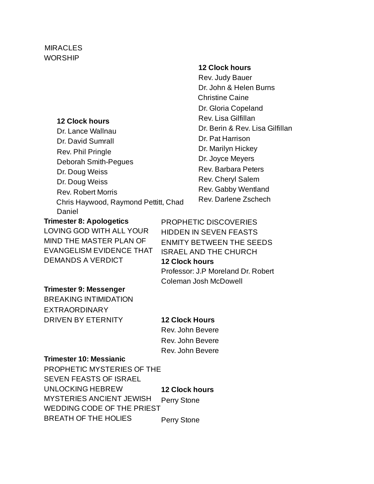#### MIRACLES WORSHIP

#### **12 Clock hours**

Dr. Lance Wallnau Dr. David Sumrall Rev. Phil Pringle Deborah Smith-Pegues Dr. Doug Weiss Dr. Doug Weiss Rev. Robert Morris Chris Haywood, Raymond Pettitt, Chad Daniel

#### **12 Clock hours**

Rev. Judy Bauer Dr. John & Helen Burns Christine Caine Dr. Gloria Copeland Rev. Lisa Gilfillan Dr. Berin & Rev. Lisa Gilfillan Dr. Pat Harrison Dr. Marilyn Hickey Dr. Joyce Meyers Rev. Barbara Peters Rev. Cheryl Salem Rev. Gabby Wentland Rev. Darlene Zschech

**Trimester 8: Apologetics** LOVING GOD WITH ALL YOUR MIND THE MASTER PLAN OF EVANGELISM EVIDENCE THAT DEMANDS A VERDICT

PROPHETIC DISCOVERIES HIDDEN IN SEVEN FEASTS ENMITY BETWEEN THE SEEDS ISRAEL AND THE CHURCH **12 Clock hours** Professor: J.P Moreland Dr. Robert Coleman Josh McDowell

#### **Trimester 9: Messenger**

BREAKING INTIMIDATION EXTRAORDINARY DRIVEN BY ETERNITY

#### **12 Clock Hours**

Rev. John Bevere Rev. John Bevere Rev. John Bevere

#### **Trimester 10: Messianic**

PROPHETIC MYSTERIES OF THE SEVEN FEASTS OF ISRAEL UNLOCKING HEBREW MYSTERIES ANCIENT JEWISH WEDDING CODE OF THE PRIEST BREATH OF THE HOLIES **12 Clock hours** Perry Stone Perry Stone